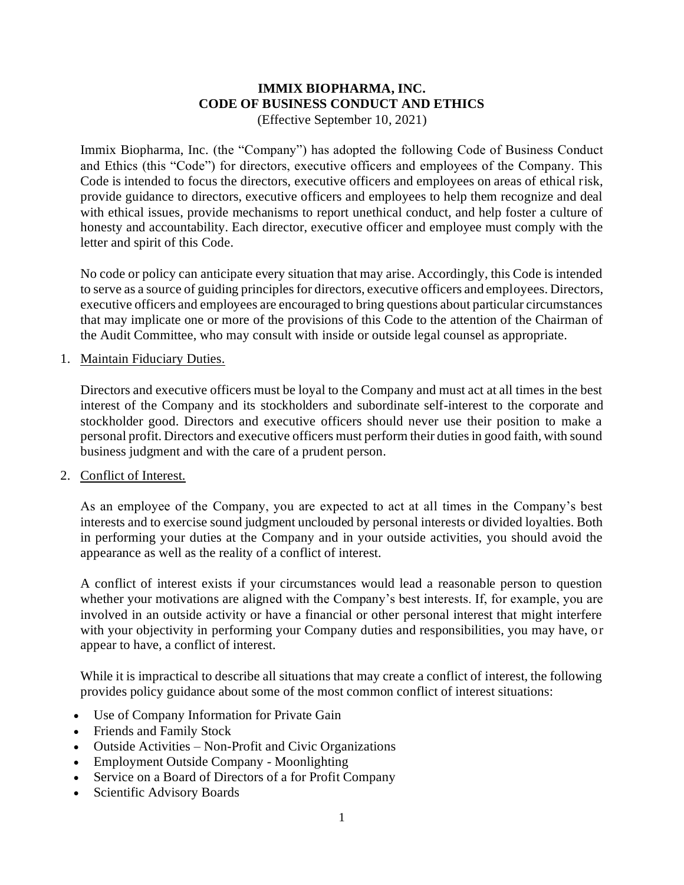# **IMMIX BIOPHARMA, INC. CODE OF BUSINESS CONDUCT AND ETHICS**

(Effective September 10, 2021)

Immix Biopharma, Inc. (the "Company") has adopted the following Code of Business Conduct and Ethics (this "Code") for directors, executive officers and employees of the Company. This Code is intended to focus the directors, executive officers and employees on areas of ethical risk, provide guidance to directors, executive officers and employees to help them recognize and deal with ethical issues, provide mechanisms to report unethical conduct, and help foster a culture of honesty and accountability. Each director, executive officer and employee must comply with the letter and spirit of this Code.

No code or policy can anticipate every situation that may arise. Accordingly, this Code is intended to serve as a source of guiding principles for directors, executive officers and employees. Directors, executive officers and employees are encouraged to bring questions about particular circumstances that may implicate one or more of the provisions of this Code to the attention of the Chairman of the Audit Committee, who may consult with inside or outside legal counsel as appropriate.

### 1. Maintain Fiduciary Duties.

Directors and executive officers must be loyal to the Company and must act at all times in the best interest of the Company and its stockholders and subordinate self-interest to the corporate and stockholder good. Directors and executive officers should never use their position to make a personal profit. Directors and executive officers must perform their duties in good faith, with sound business judgment and with the care of a prudent person.

#### 2. Conflict of Interest.

As an employee of the Company, you are expected to act at all times in the Company's best interests and to exercise sound judgment unclouded by personal interests or divided loyalties. Both in performing your duties at the Company and in your outside activities, you should avoid the appearance as well as the reality of a conflict of interest.

A conflict of interest exists if your circumstances would lead a reasonable person to question whether your motivations are aligned with the Company's best interests. If, for example, you are involved in an outside activity or have a financial or other personal interest that might interfere with your objectivity in performing your Company duties and responsibilities, you may have, or appear to have, a conflict of interest.

While it is impractical to describe all situations that may create a conflict of interest, the following provides policy guidance about some of the most common conflict of interest situations:

- Use of Company Information for Private Gain
- Friends and Family Stock
- Outside Activities Non-Profit and Civic Organizations
- Employment Outside Company Moonlighting
- Service on a Board of Directors of a for Profit Company
- Scientific Advisory Boards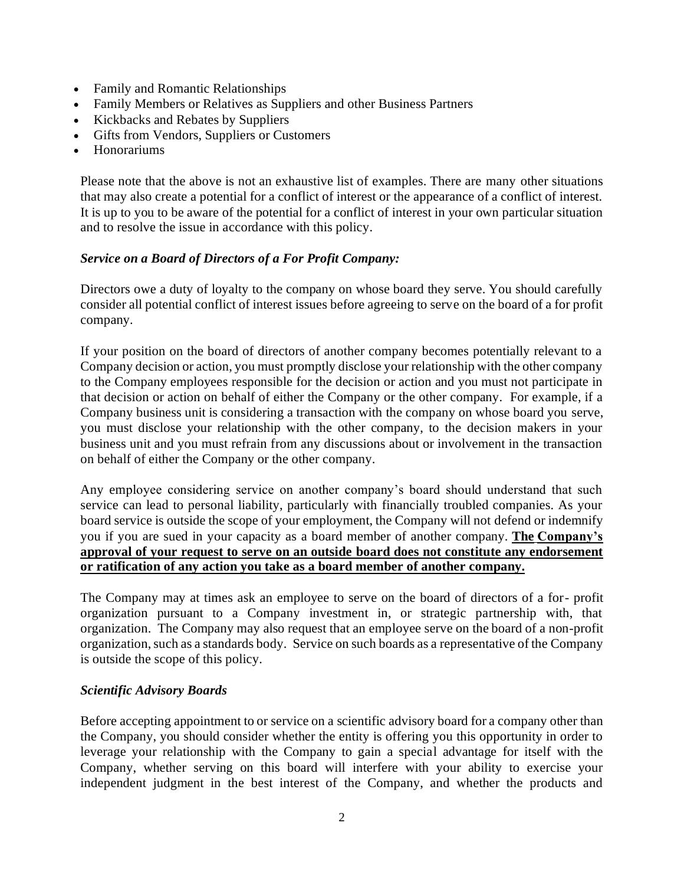- Family and Romantic Relationships
- Family Members or Relatives as Suppliers and other Business Partners
- Kickbacks and Rebates by Suppliers
- Gifts from Vendors, Suppliers or Customers
- Honorariums

Please note that the above is not an exhaustive list of examples. There are many other situations that may also create a potential for a conflict of interest or the appearance of a conflict of interest. It is up to you to be aware of the potential for a conflict of interest in your own particular situation and to resolve the issue in accordance with this policy.

# *Service on a Board of Directors of a For Profit Company:*

Directors owe a duty of loyalty to the company on whose board they serve. You should carefully consider all potential conflict of interest issues before agreeing to serve on the board of a for profit company.

If your position on the board of directors of another company becomes potentially relevant to a Company decision or action, you must promptly disclose your relationship with the other company to the Company employees responsible for the decision or action and you must not participate in that decision or action on behalf of either the Company or the other company. For example, if a Company business unit is considering a transaction with the company on whose board you serve, you must disclose your relationship with the other company, to the decision makers in your business unit and you must refrain from any discussions about or involvement in the transaction on behalf of either the Company or the other company.

Any employee considering service on another company's board should understand that such service can lead to personal liability, particularly with financially troubled companies. As your board service is outside the scope of your employment, the Company will not defend or indemnify you if you are sued in your capacity as a board member of another company. **The Company's approval of your request to serve on an outside board does not constitute any endorsement or ratification of any action you take as a board member of another company.**

The Company may at times ask an employee to serve on the board of directors of a for- profit organization pursuant to a Company investment in, or strategic partnership with, that organization. The Company may also request that an employee serve on the board of a non-profit organization, such as a standards body. Service on such boards as a representative of the Company is outside the scope of this policy.

## *Scientific Advisory Boards*

Before accepting appointment to or service on a scientific advisory board for a company other than the Company, you should consider whether the entity is offering you this opportunity in order to leverage your relationship with the Company to gain a special advantage for itself with the Company, whether serving on this board will interfere with your ability to exercise your independent judgment in the best interest of the Company, and whether the products and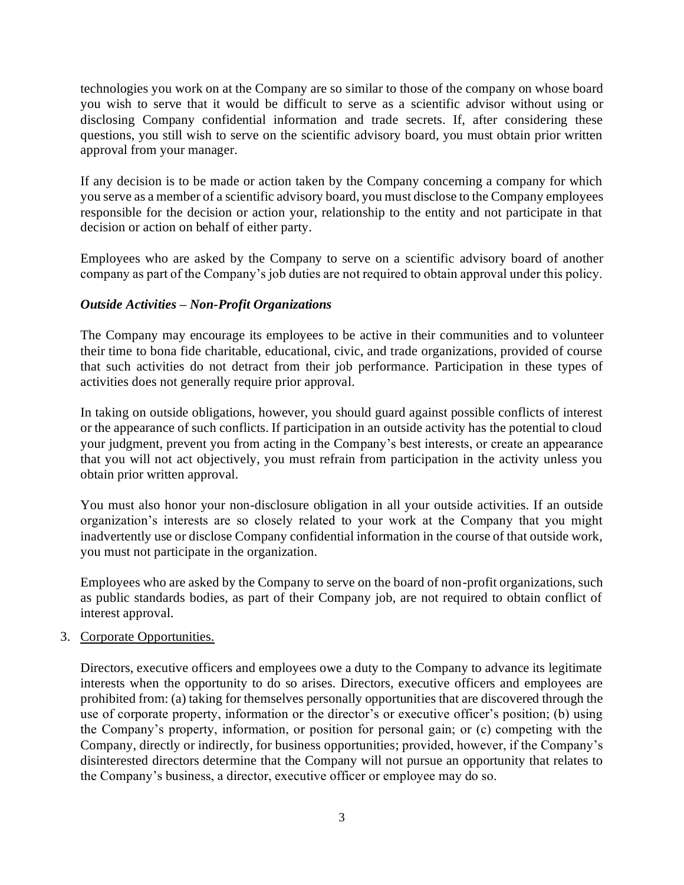technologies you work on at the Company are so similar to those of the company on whose board you wish to serve that it would be difficult to serve as a scientific advisor without using or disclosing Company confidential information and trade secrets. If, after considering these questions, you still wish to serve on the scientific advisory board, you must obtain prior written approval from your manager.

If any decision is to be made or action taken by the Company concerning a company for which you serve as a member of a scientific advisory board, you must disclose to the Company employees responsible for the decision or action your, relationship to the entity and not participate in that decision or action on behalf of either party.

Employees who are asked by the Company to serve on a scientific advisory board of another company as part of the Company's job duties are not required to obtain approval under this policy.

# *Outside Activities – Non-Profit Organizations*

The Company may encourage its employees to be active in their communities and to volunteer their time to bona fide charitable, educational, civic, and trade organizations, provided of course that such activities do not detract from their job performance. Participation in these types of activities does not generally require prior approval.

In taking on outside obligations, however, you should guard against possible conflicts of interest or the appearance of such conflicts. If participation in an outside activity has the potential to cloud your judgment, prevent you from acting in the Company's best interests, or create an appearance that you will not act objectively, you must refrain from participation in the activity unless you obtain prior written approval.

You must also honor your non-disclosure obligation in all your outside activities. If an outside organization's interests are so closely related to your work at the Company that you might inadvertently use or disclose Company confidential information in the course of that outside work, you must not participate in the organization.

Employees who are asked by the Company to serve on the board of non-profit organizations, such as public standards bodies, as part of their Company job, are not required to obtain conflict of interest approval.

## 3. Corporate Opportunities.

Directors, executive officers and employees owe a duty to the Company to advance its legitimate interests when the opportunity to do so arises. Directors, executive officers and employees are prohibited from: (a) taking for themselves personally opportunities that are discovered through the use of corporate property, information or the director's or executive officer's position; (b) using the Company's property, information, or position for personal gain; or (c) competing with the Company, directly or indirectly, for business opportunities; provided, however, if the Company's disinterested directors determine that the Company will not pursue an opportunity that relates to the Company's business, a director, executive officer or employee may do so.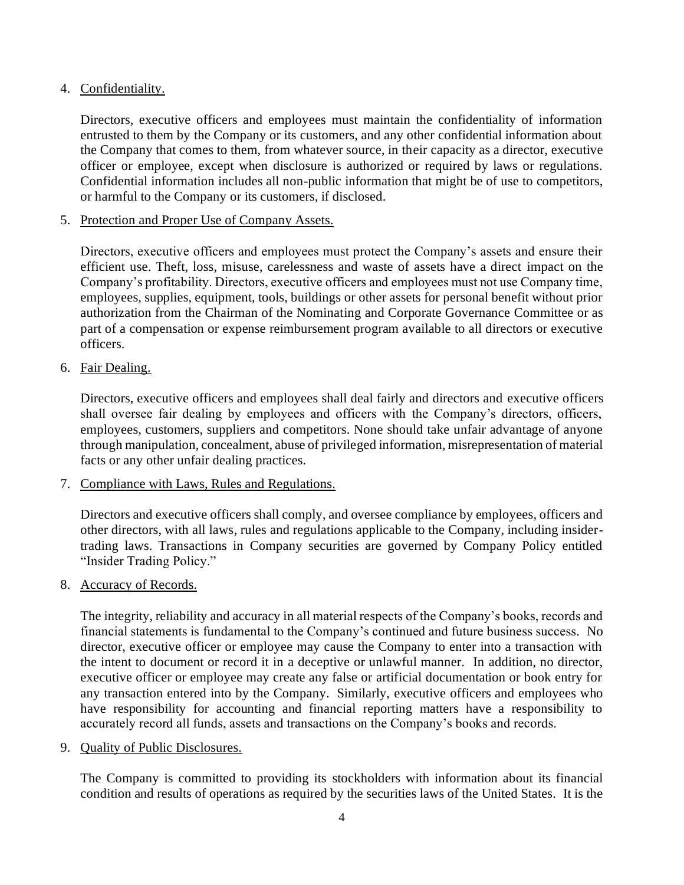# 4. Confidentiality.

Directors, executive officers and employees must maintain the confidentiality of information entrusted to them by the Company or its customers, and any other confidential information about the Company that comes to them, from whatever source, in their capacity as a director, executive officer or employee, except when disclosure is authorized or required by laws or regulations. Confidential information includes all non-public information that might be of use to competitors, or harmful to the Company or its customers, if disclosed.

5. Protection and Proper Use of Company Assets.

Directors, executive officers and employees must protect the Company's assets and ensure their efficient use. Theft, loss, misuse, carelessness and waste of assets have a direct impact on the Company's profitability. Directors, executive officers and employees must not use Company time, employees, supplies, equipment, tools, buildings or other assets for personal benefit without prior authorization from the Chairman of the Nominating and Corporate Governance Committee or as part of a compensation or expense reimbursement program available to all directors or executive officers.

6. Fair Dealing.

Directors, executive officers and employees shall deal fairly and directors and executive officers shall oversee fair dealing by employees and officers with the Company's directors, officers, employees, customers, suppliers and competitors. None should take unfair advantage of anyone through manipulation, concealment, abuse of privileged information, misrepresentation of material facts or any other unfair dealing practices.

7. Compliance with Laws, Rules and Regulations.

Directors and executive officers shall comply, and oversee compliance by employees, officers and other directors, with all laws, rules and regulations applicable to the Company, including insidertrading laws. Transactions in Company securities are governed by Company Policy entitled "Insider Trading Policy."

8. Accuracy of Records.

The integrity, reliability and accuracy in all material respects of the Company's books, records and financial statements is fundamental to the Company's continued and future business success. No director, executive officer or employee may cause the Company to enter into a transaction with the intent to document or record it in a deceptive or unlawful manner. In addition, no director, executive officer or employee may create any false or artificial documentation or book entry for any transaction entered into by the Company. Similarly, executive officers and employees who have responsibility for accounting and financial reporting matters have a responsibility to accurately record all funds, assets and transactions on the Company's books and records.

9. Quality of Public Disclosures.

The Company is committed to providing its stockholders with information about its financial condition and results of operations as required by the securities laws of the United States. It is the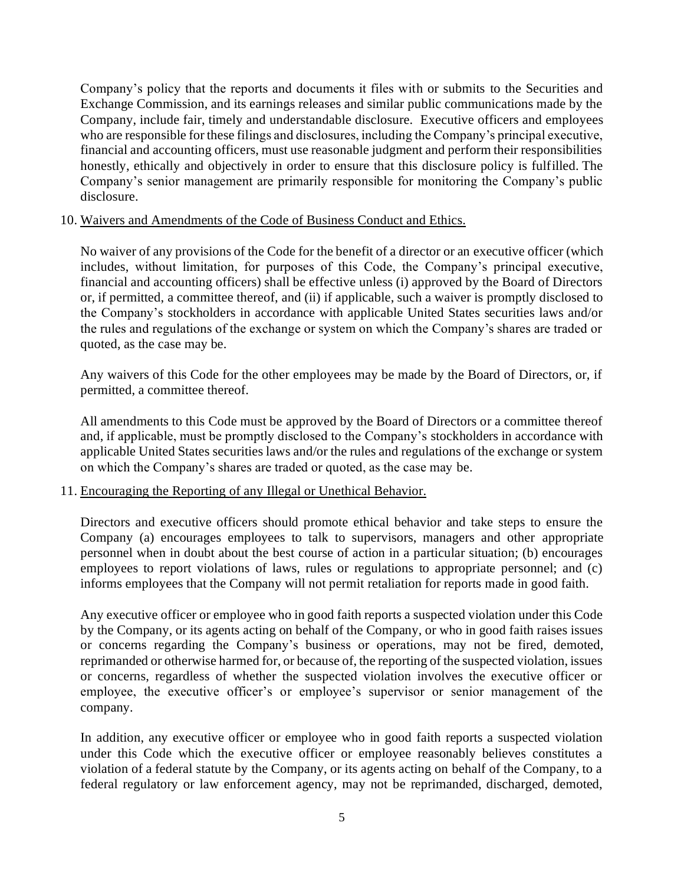Company's policy that the reports and documents it files with or submits to the Securities and Exchange Commission, and its earnings releases and similar public communications made by the Company, include fair, timely and understandable disclosure. Executive officers and employees who are responsible for these filings and disclosures, including the Company's principal executive, financial and accounting officers, must use reasonable judgment and perform their responsibilities honestly, ethically and objectively in order to ensure that this disclosure policy is fulfilled. The Company's senior management are primarily responsible for monitoring the Company's public disclosure.

#### 10. Waivers and Amendments of the Code of Business Conduct and Ethics.

No waiver of any provisions of the Code for the benefit of a director or an executive officer (which includes, without limitation, for purposes of this Code, the Company's principal executive, financial and accounting officers) shall be effective unless (i) approved by the Board of Directors or, if permitted, a committee thereof, and (ii) if applicable, such a waiver is promptly disclosed to the Company's stockholders in accordance with applicable United States securities laws and/or the rules and regulations of the exchange or system on which the Company's shares are traded or quoted, as the case may be.

Any waivers of this Code for the other employees may be made by the Board of Directors, or, if permitted, a committee thereof.

All amendments to this Code must be approved by the Board of Directors or a committee thereof and, if applicable, must be promptly disclosed to the Company's stockholders in accordance with applicable United States securities laws and/or the rules and regulations of the exchange or system on which the Company's shares are traded or quoted, as the case may be.

#### 11. Encouraging the Reporting of any Illegal or Unethical Behavior.

Directors and executive officers should promote ethical behavior and take steps to ensure the Company (a) encourages employees to talk to supervisors, managers and other appropriate personnel when in doubt about the best course of action in a particular situation; (b) encourages employees to report violations of laws, rules or regulations to appropriate personnel; and (c) informs employees that the Company will not permit retaliation for reports made in good faith.

Any executive officer or employee who in good faith reports a suspected violation under this Code by the Company, or its agents acting on behalf of the Company, or who in good faith raises issues or concerns regarding the Company's business or operations, may not be fired, demoted, reprimanded or otherwise harmed for, or because of, the reporting of the suspected violation, issues or concerns, regardless of whether the suspected violation involves the executive officer or employee, the executive officer's or employee's supervisor or senior management of the company.

In addition, any executive officer or employee who in good faith reports a suspected violation under this Code which the executive officer or employee reasonably believes constitutes a violation of a federal statute by the Company, or its agents acting on behalf of the Company, to a federal regulatory or law enforcement agency, may not be reprimanded, discharged, demoted,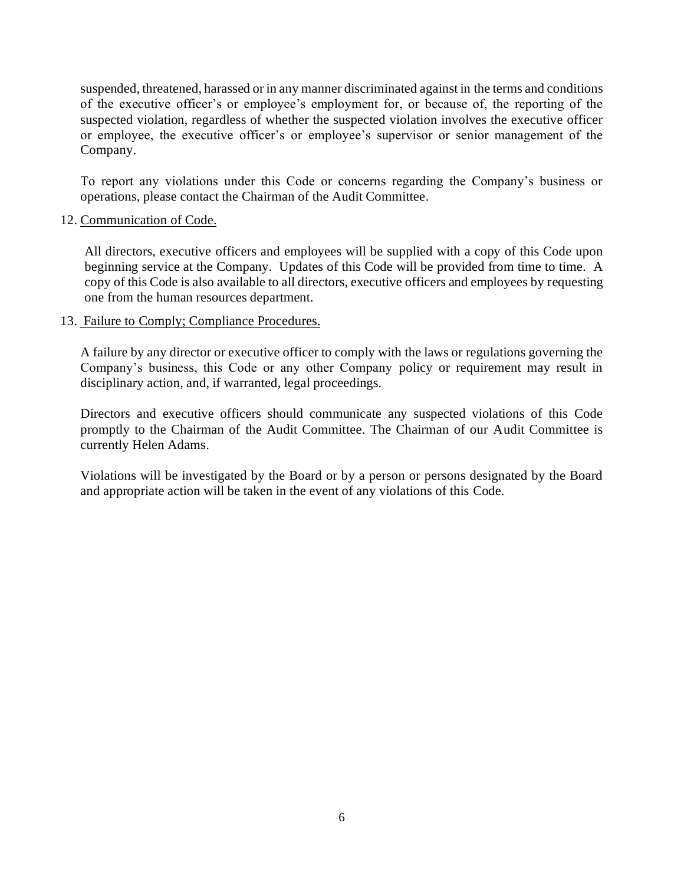suspended, threatened, harassed or in any manner discriminated against in the terms and conditions of the executive officer's or employee's employment for, or because of, the reporting of the suspected violation, regardless of whether the suspected violation involves the executive officer or employee, the executive officer's or employee's supervisor or senior management of the Company.

To report any violations under this Code or concerns regarding the Company's business or operations, please contact the Chairman of the Audit Committee.

### 12. Communication of Code.

All directors, executive officers and employees will be supplied with a copy of this Code upon beginning service at the Company. Updates of this Code will be provided from time to time. A copy of this Code is also available to all directors, executive officers and employees by requesting one from the human resources department.

### 13. Failure to Comply; Compliance Procedures.

A failure by any director or executive officer to comply with the laws or regulations governing the Company's business, this Code or any other Company policy or requirement may result in disciplinary action, and, if warranted, legal proceedings.

Directors and executive officers should communicate any suspected violations of this Code promptly to the Chairman of the Audit Committee. The Chairman of our Audit Committee is currently Helen Adams.

Violations will be investigated by the Board or by a person or persons designated by the Board and appropriate action will be taken in the event of any violations of this Code.